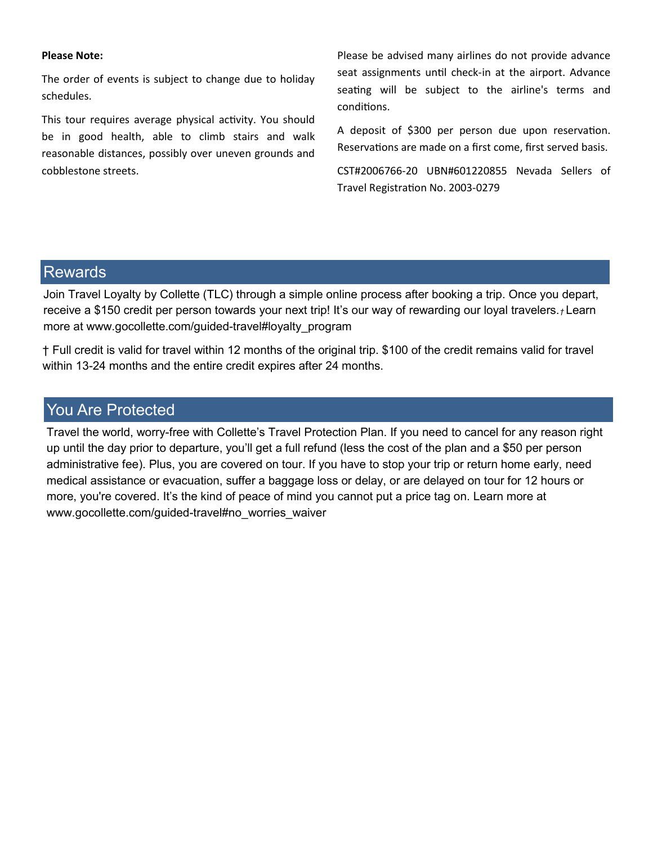## **Please Note:**

The order of events is subject to change due to holiday schedules.

This tour requires average physical activity. You should be in good health, able to climb stairs and walk reasonable distances, possibly over uneven grounds and cobblestone streets.

Please be advised many airlines do not provide advance seat assignments until check-in at the airport. Advance seating will be subject to the airline's terms and conditions.

A deposit of \$300 per person due upon reservation. Reservations are made on a first come, first served basis.

CST#2006766-20 UBN#601220855 Nevada Sellers of Travel Registration No. 2003-0279

## Rewards

Join Travel Loyalty by Collette (TLC) through a simple online process after booking a trip. Once you depart, receive a \$150 credit per person towards your next trip! It's our way of rewarding our loyal travelers.*†* Learn more at www.gocollette.com/guided-travel#loyalty\_program

† Full credit is valid for travel within 12 months of the original trip. \$100 of the credit remains valid for travel within 13-24 months and the entire credit expires after 24 months.

## You Are Protected

Travel the world, worry-free with Collette's Travel Protection Plan. If you need to cancel for any reason right up until the day prior to departure, you'll get a full refund (less the cost of the plan and a \$50 per person administrative fee). Plus, you are covered on tour. If you have to stop your trip or return home early, need medical assistance or evacuation, suffer a baggage loss or delay, or are delayed on tour for 12 hours or more, you're covered. It's the kind of peace of mind you cannot put a price tag on. Learn more at www.gocollette.com/guided-travel#no\_worries\_waiver